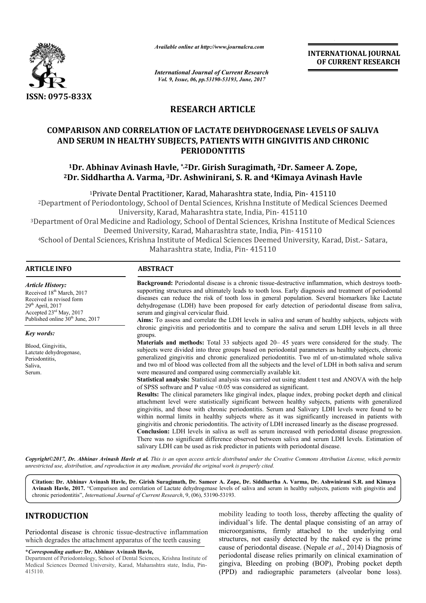

*Available online at http://www.journalcra.com*

**INTERNATIONAL JOURNAL OF CURRENT RESEARCH** 

*International Journal of Current Research Vol. 9, Issue, 06, pp.53190-53193, June, 2017*

# **RESEARCH ARTICLE**

# **COMPARISON AND CORRELATION OF LACTATE DEHYDROGENASE LEVELS OF SALIVA AND SERUM IN HEALTHY SUBJECTS, PATIENTS WITH GINGIVITIS AND CHRONIC PERIODONTITIS** ENASE LEVELS OF SALIVA<br>GIVITIS AND CHRONIC<br>Dr. Sameer A. Zope,

# **1Dr. Abhinav Avinash Havle Havle, \*,2Dr. Girish Suragimath, 2Dr. Sameer A**  $^2$ Dr. Siddhartha A. Varma,  $^3$ Dr. Ashwinirani, S. R. and  $^4$ Kimaya Avinash Havle

<sup>1</sup>Private Dental Practitioner, Karad, Maharashtra state, India, Pin- 415110 2Department of Periodontology, School of Dental Sciences, Krishna Institute of Medical Sciences Deemed University, Karad, Maharashtra state, India, Pin- 415110 <sup>2</sup>Department of Periodontology, School of Dental Sciences, Krishna Institute of Medical Sciences Deemed<br>University, Karad, Maharashtra state, India, Pin- 415110<br><sup>3</sup>Department of Oral Medicine and Radiology, School of Dent

Deemed University, Karad, Maharashtra state, India, Pin

<sup>4</sup>School of Dental Sciences, Krishna Institute of Medical Sciences Deemed University, Karad, Dist.- Satara,<br>Maharashtra state, India, Pin- 415110 Maharashtra state, India, Pin

#### **ARTICLE INFO ABSTRACT**

Background: Periodontal disease is a chronic tissue-destructive inflammation, which destroys toothsupporting structures and ultimately leads to tooth loss. Early diagnosis and treatment of periodontal supporting structures and ultimately leads to tooth loss. Early diagnosis and treatment of periodontal diseases can reduce the risk of tooth loss in general population. Several biomarkers like Lactate dehydrogenase (LDH) have been proposed for early detection of periodontal disease from saliva, serum and gingival cervicular fluid. **Aims:** To assess and correlate the LDH levels in saliva and serum of healthy subjects, subjects with chronic gingivitis and periodontitis and to compare the saliva and serum LDH levels in all three groups. **Materials and methods:** Total 33 subjects aged 20–45 years were considered for the study. The subjects were divided into three groups based on periodontal parameters as healthy subjects, chronic generalized gingivitis and chronic generalized periodontitis. Two ml of un and two ml of blood was collected from all the subjects and the level of LDH in both saliva and serum were measured and compared using commercially available kit. Statistical analysis: Statistical analysis was carried out using student t test and ANOVA with the help of SPSS software and P value <0.05 was considered as significant. **Results:** The clinical parameters like gingival index, plaque index, probing pocket depth and clinical Results: The clinical parameters like gingival index, plaque index, probing pocket depth and clinical attachment level were statistically significant between healthy subjects, patients with generalized gingivitis, and those with chronic periodontitis. Serum and Salivary LDH levels were found to be within normal limits in healthy subjects where as it was significantly increased in patients with gingivitis and chronic periodontitis. The activity of LDH increased linearly as the disease progressed. **Conclusion:** LDH levels in saliva as well as serum increased with periodontal disease progression. There was no significant difference observed between saliva and serum LDH levels. Estimation of salivary LDH can be used as risk predictor in patients with periodontal disease. *Article History:* Received 18<sup>th</sup> March, 2017 Received in revised form  $29<sup>th</sup>$  April, 2017 Accepted 23rd May, 2017 Published online 30<sup>th</sup> June, 2017 *Key words:* Blood, Gingivitis, Latctate dehydrogenase, Periodontitis, Saliva, Serum. dehydrogenase (LDH) have been proposed for early detection of periodontal disease from saliva, serum and gingival cervicular fluid.<br>**Aims:** To assess and correlate the LDH levels in saliva and serum of healthy subjects, su bets and the level of LDH in both saliva an<br>vailable kit.<br>out using student t test and ANOVA with<br>as significant. gingivitis, and those with chronic periodontitis. Serum and Salivary LDH levels were found to be within normal limits in healthy subjects where as it was significantly increased in patients with gingivitis and chronic peri INTERNATIONAL JOURNAL<br>
OF CURRENT RESEARCH<br>
OF CURRENT RESEARCH<br>
TO COUNTIVE AND CHRONIC<br>
2Dr. Sameer A. Zope,<br>
Kimaya Avinash Havle<br>
India, Pin- 415110<br>
India, Pin- 415110<br>
India, Pin- 415110<br>
Inter of Medical Sciences De

Copyright©2017, Dr. Abhinav Avinash Havle et al. This is an open access article distributed under the Creative Commons Attribution License, which permits *unrestricted use, distribution, and reproduction in any medium, provided the original work is properly cited.*

Citation: Dr. Abhinav Avinash Havle, Dr. Girish Suragimath, Dr. Sameer A. Zope, Dr. Siddhartha A. Varma, Dr. Ashwinirani S.R. and Kimaya Avinash Havle, 2017. "Comparison and correlation of Lactate dehydrogenase levels of saliva and serum in healthy subjects, patients with gingivitis and Avinash Havle, 2017. "Comparison and correlation of Lactate dehydrogenase levels (chronic periodontitis", *International Journal of Current Research*, 9, (06), 53190-53193.

# **INTRODUCTION**

Periodontal disease is chronic tissue-destructive inflammation which degrades the attachment apparatus of the teeth causing destructive inflammation<br>tus of the teeth causing<br>**I Havle,**<br>Il Sciences, Krishna Institute of<br>Maharashtra state, India, Pin-

**\****Corresponding author:* **Dr. Abhinav Avinash Havle,**

Department of Periodontology, School of Dental Sciences, Krishna Institute of Medical Sciences Deemed University, Karad, Maharashtra state, India, Pin 415110.

mobility leading to tooth loss, thereby affecting the quality of mobility leading to tooth loss, thereby affecting the quality of individual's life. The dental plaque consisting of an array of microorganisms, firmly attached to the underlying oral microorganisms, firmly attached to the underlying oral structures, not easily detected by the naked eye is the prime cause of periodontal disease. (Nepale et al., 2014) Diagnosis of periodontal disease relies primarily on clinical examination of gingiva, Bleeding on probing (BOP), Probing pocket depth (PPD) and radiographic parameters (alveolar bone loss).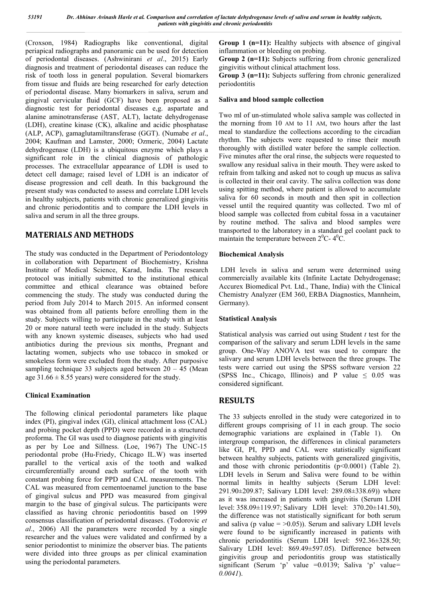(Croxson, 1984) Radiographs like conventional, digital periapical radiographs and panoramic can be used for detection of periodontal diseases. (Ashwinirani *et al*., 2015) Early diagnosis and treatment of periodontal diseases can reduce the risk of tooth loss in general population. Several biomarkers from tissue and fluids are being researched for early detection of periodontal disease. Many biomarkers in saliva, serum and gingival cervicular fluid (GCF) have been proposed as a diagnostic test for periodontal diseases e,g. aspartate and alanine aminotransferase (AST, ALT), lactate dehydrogenase (LDH), creatine kinase (CK), alkaline and acidic phosphatase (ALP, ACP), gamaglutamiltransferase (GGT). (Numabe *et al*., 2004; Kaufman and Lamster, 2000; Ozmeric, 2004) Lactate dehydrogenase (LDH) is a ubiquitous enzyme which plays a significant role in the clinical diagnosis of pathologic processes. The extracellular appearance of LDH is used to detect cell damage; raised level of LDH is an indicator of disease progression and cell death. In this background the present study was conducted to assess and correlate LDH levels in healthy subjects, patients with chronic generalized gingivitis and chronic periodontitis and to compare the LDH levels in saliva and serum in all the three groups.

# **MATERIALS AND METHODS**

The study was conducted in the Department of Periodontology in collaboration with Department of Biochemistry, Krishna Institute of Medical Science, Karad, India. The research protocol was initially submitted to the institutional ethical committee and ethical clearance was obtained before commencing the study. The study was conducted during the period from July 2014 to March 2015. An informed consent was obtained from all patients before enrolling them in the study. Subjects willing to participate in the study with at least 20 or more natural teeth were included in the study. Subjects with any known systemic diseases, subjects who had used antibiotics during the previous six months, Pregnant and lactating women, subjects who use tobacco in smoked or smokeless form were excluded from the study. After purposive sampling technique 33 subjects aged between  $20 - 45$  (Mean age  $31.66 \pm 8.55$  years) were considered for the study.

### **Clinical Examination**

The following clinical periodontal parameters like plaque index (PI), gingival index (GI), clinical attachment loss (CAL) and probing pocket depth (PPD) were recorded in a structured proforma. The GI was used to diagnose patients with gingivitis as per by Loe and Sillness. (Loe, 1967) The UNC-15 periodontal probe (Hu-Friedy, Chicago IL.W) was inserted parallel to the vertical axis of the tooth and walked circumferentially around each surface of the tooth with constant probing force for PPD and CAL measurements. The CAL was measured from cementoenamel junction to the base of gingival sulcus and PPD was measured from gingival margin to the base of gingival sulcus. The participants were classified as having chronic periodontitis based on 1999 consensus classification of periodontal diseases. (Todorovic *et al*., 2006) All the parameters were recorded by a single researcher and the values were validated and confirmed by a senior periodontist to minimize the observer bias. The patients were divided into three groups as per clinical examination using the periodontal parameters.

**Group 1 (n=11):** Healthy subjects with absence of gingival inflammation or bleeding on probing.

**Group 2 (n=11):** Subjects suffering from chronic generalized gingivitis without clinical attachment loss.

**Group 3 (n=11):** Subjects suffering from chronic generalized periodontitis

#### **Saliva and blood sample collection**

Two ml of un-stimulated whole saliva sample was collected in the morning from 10 AM to 11 AM, two hours after the last meal to standardize the collections according to the circadian rhythm. The subjects were requested to rinse their mouth thoroughly with distilled water before the sample collection. Five minutes after the oral rinse, the subjects were requested to swallow any residual saliva in their mouth. They were asked to refrain from talking and asked not to cough up mucus as saliva is collected in their oral cavity. The saliva collection was done using spitting method, where patient is allowed to accumulate saliva for 60 seconds in mouth and then spit in collection vessel until the required quantity was collected. Two ml of blood sample was collected from cubital fossa in a vacutainer by routine method. The saliva and blood samples were transported to the laboratory in a standard gel coolant pack to maintain the temperature between  $2^0C - 4^0C$ .

#### **Biochemical Analysis**

LDH levels in saliva and serum were determined using commercially available kits (Infinite Lactate Dehydrogenase; Accurex Biomedical Pvt. Ltd., Thane, India) with the Clinical Chemistry Analyzer (EM 360, ERBA Diagnostics, Mannheim, Germany).

#### **Statistical Analysis**

Statistical analysis was carried out using Student *t* test for the comparison of the salivary and serum LDH levels in the same group. One-Way ANOVA test was used to compare the salivary and serum LDH levels between the three groups. The tests were carried out using the SPSS software version 22 (SPSS Inc., Chicago, Illinois) and P value  $\leq 0.05$  was considered significant.

# **RESULTS**

The 33 subjects enrolled in the study were categorized in to different groups comprising of 11 in each group. The socio demographic variations are explained in (Table 1). On intergroup comparison, the differences in clinical parameters like GI, PI, PPD and CAL were statistically significant between healthy subjects, patients with generalized gingivitis, and those with chronic periodontitis (p<0.0001) (Table 2). LDH levels in Serum and Saliva were found to be within normal limits in healthy subjects (Serum LDH level: 291.90±209.87; Salivary LDH level: 289.08±338.69)) where as it was increased in patients with gingivitis (Serum LDH level: 358.09±119.97; Salivary LDH level: 370.20±141.50), the difference was not statistically significant for both serum and saliva (p value  $=$  >0.05)). Serum and salivary LDH levels were found to be significantly increased in patients with chronic periodontitis (Serum LDH level: 592.36±328.50; Salivary LDH level: 869.49±597.05). Difference between gingivitis group and periodontitis group was statistically significant (Serum 'p' value =0.0139; Saliva 'p' value*= 0.0041*).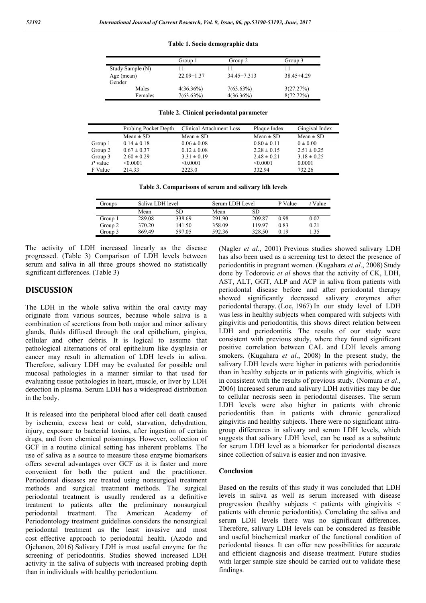**Table 1. Socio demographic data**

|                  | Group 1          | Group 2           | Group 3        |
|------------------|------------------|-------------------|----------------|
| Study Sample (N) |                  |                   |                |
| Age (mean)       | $22.09 \pm 1.37$ | $34.45 \pm 7.313$ | $38.45\pm4.29$ |
| Gender           |                  |                   |                |
| Males            | $4(36.36\%)$     | $7(63.63\%)$      | 3(27.27%)      |
| Females          | $7(63.63\%)$     | $4(36.36\%)$      | 8(72.72%)      |

**Table 2. Clinical periodontal parameter**

|           | Probing Pocket Depth<br>Clinical Attachment Loss |                 | Plaque Index    | Gingival Index  |  |
|-----------|--------------------------------------------------|-----------------|-----------------|-----------------|--|
|           | $Mean \pm SD$                                    | $Mean \pm SD$   | $Mean \pm SD$   | $Mean \pm SD$   |  |
| Group 1   | $0.14 \pm 0.18$                                  | $0.06 \pm 0.08$ | $0.80 \pm 0.11$ | $0 \pm 0.00$    |  |
| Group 2   | $0.67 \pm 0.37$                                  | $0.12 \pm 0.08$ | $2.28 \pm 0.15$ | $2.51 \pm 0.25$ |  |
| Group 3   | $2.60 \pm 0.29$                                  | $3.31 \pm 0.19$ | $2.48 \pm 0.21$ | $3.18 \pm 0.25$ |  |
| $P$ value | < 0.0001                                         | < 0.0001        | < 0.0001        | 0.0001          |  |
| F Value   | 214.33                                           | 2223.0          | 332.94          | 732.26          |  |

**Table 3. Comparisons of serum and salivary ldh levels**

| Groups  | Saliva LDH level |        |        | Serum LDH Level |      | $t$ Value |
|---------|------------------|--------|--------|-----------------|------|-----------|
|         | Mean             | SD     | Mean   | SD              |      |           |
| Group 1 | 289.08           | 338.69 | 291.90 | 209.87          | 0.98 | 0.02      |
| Group 2 | 370.20           | 141.50 | 358.09 | 119 97          | 0.83 | 0.21      |
| Group 3 | 869.49           | 597.05 | 592.36 | 328.50          | 0.19 | 1.35      |

The activity of LDH increased linearly as the disease progressed. (Table 3) Comparison of LDH levels between serum and saliva in all three groups showed no statistically significant differences. (Table 3)

#### **DISCUSSION**

The LDH in the whole saliva within the oral cavity may originate from various sources, because whole saliva is a combination of secretions from both major and minor salivary glands, fluids diffused through the oral epithelium, gingiva, cellular and other debris. It is logical to assume that pathological alternations of oral epithelium like dysplasia or cancer may result in alternation of LDH levels in saliva. Therefore, salivary LDH may be evaluated for possible oral mucosal pathologies in a manner similar to that used for evaluating tissue pathologies in heart, muscle, or liver by LDH detection in plasma. Serum LDH has a widespread distribution in the body.

It is released into the peripheral blood after cell death caused by ischemia, excess heat or cold, starvation, dehydration, injury, exposure to bacterial toxins, after ingestion of certain drugs, and from chemical poisonings. However, collection of GCF in a routine clinical setting has inherent problems. The use of saliva as a source to measure these enzyme biomarkers offers several advantages over GCF as it is faster and more convenient for both the patient and the practitioner. Periodontal diseases are treated using nonsurgical treatment methods and surgical treatment methods. The surgical periodontal treatment is usually rendered as a definitive treatment to patients after the preliminary nonsurgical periodontal treatment. The American Academy of Periodontology treatment guidelines considers the nonsurgical periodontal treatment as the least invasive and most cost‑effective approach to periodontal health. (Azodo and Ojehanon, 2016) Salivary LDH is most useful enzyme for the screening of periodontitis. Studies showed increased LDH activity in the saliva of subjects with increased probing depth than in individuals with healthy periodontium.

(Nagler *et al*., 2001) Previous studies showed salivary LDH has also been used as a screening test to detect the presence of periodontitis in pregnant women. (Kugahara *et al*., 2008) Study done by Todorovic *et al* shows that the activity of CK, LDH, AST, ALT, GGT, ALP and ACP in saliva from patients with periodontal disease before and after periodontal therapy showed significantly decreased salivary enzymes after periodontal therapy. (Loe, 1967) In our study level of LDH was less in healthy subjects when compared with subjects with gingivitis and periodontitis, this shows direct relation between LDH and periodontitis. The results of our study were consistent with previous study, where they found significant positive correlation between CAL and LDH levels among smokers. (Kugahara *et al*., 2008) In the present study, the salivary LDH levels were higher in patients with periodontitis than in healthy subjects or in patients with gingivitis, which is in consistent with the results of previous study. (Nomura *et al*., 2006) Increased serum and salivary LDH activities may be due to cellular necrosis seen in periodontal diseases. The serum LDH levels were also higher in patients with chronic periodontitis than in patients with chronic generalized gingivitis and healthy subjects. There were no significant intragroup differences in salivary and serum LDH levels, which suggests that salivary LDH level, can be used as a substitute for serum LDH level as a biomarker for periodontal diseases since collection of saliva is easier and non invasive.

#### **Conclusion**

Based on the results of this study it was concluded that LDH levels in saliva as well as serum increased with disease progression (healthy subjects < patients with gingivitis < patients with chronic periodontitis). Correlating the saliva and serum LDH levels there was no significant differences. Therefore, salivary LDH levels can be considered as feasible and useful biochemical marker of the functional condition of periodontal tissues. It can offer new possibilities for accurate and efficient diagnosis and disease treatment. Future studies with larger sample size should be carried out to validate these findings.